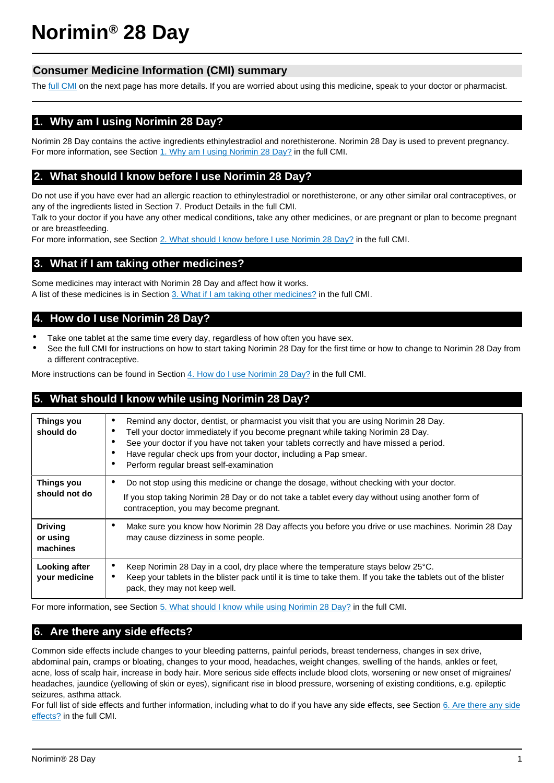# **Norimin® 28 Day**

# **Consumer Medicine Information (CMI) summary**

The [full CMI](#page-1-0) on the next page has more details. If you are worried about using this medicine, speak to your doctor or pharmacist.

# **1. Why am I using Norimin 28 Day?**

Norimin 28 Day contains the active ingredients ethinylestradiol and norethisterone. Norimin 28 Day is used to prevent pregnancy. For more information, see Section [1. Why am I using Norimin 28 Day?](#page-1-1) in the full CMI.

# **2. What should I know before I use Norimin 28 Day?**

Do not use if you have ever had an allergic reaction to ethinylestradiol or norethisterone, or any other similar oral contraceptives, or any of the ingredients listed in Section 7. Product Details in the full CMI.

Talk to your doctor if you have any other medical conditions, take any other medicines, or are pregnant or plan to become pregnant or are breastfeeding.

For more information, see Section [2. What should I know before I use Norimin 28 Day?](#page-1-2) in the full CMI.

# **3. What if I am taking other medicines?**

Some medicines may interact with Norimin 28 Day and affect how it works. A list of these medicines is in Section [3. What if I am taking other medicines?](#page-2-0) in the full CMI.

# **4. How do I use Norimin 28 Day?**

- Take one tablet at the same time every day, regardless of how often you have sex.
- See the full CMI for instructions on how to start taking Norimin 28 Day for the first time or how to change to Norimin 28 Day from a different contraceptive.

More instructions can be found in Section [4. How do I use Norimin 28 Day?](#page-3-0) in the full CMI.

# **5. What should I know while using Norimin 28 Day?**

| Things you<br>should do                | Remind any doctor, dentist, or pharmacist you visit that you are using Norimin 28 Day.<br>٠<br>Tell your doctor immediately if you become pregnant while taking Norimin 28 Day.<br>See your doctor if you have not taken your tablets correctly and have missed a period.<br>٠<br>Have regular check ups from your doctor, including a Pap smear.<br>٠<br>Perform regular breast self-examination<br>٠ |  |
|----------------------------------------|--------------------------------------------------------------------------------------------------------------------------------------------------------------------------------------------------------------------------------------------------------------------------------------------------------------------------------------------------------------------------------------------------------|--|
| Things you<br>should not do            | Do not stop using this medicine or change the dosage, without checking with your doctor.<br>٠<br>If you stop taking Norimin 28 Day or do not take a tablet every day without using another form of<br>contraception, you may become pregnant.                                                                                                                                                          |  |
| <b>Driving</b><br>or using<br>machines | Make sure you know how Norimin 28 Day affects you before you drive or use machines. Norimin 28 Day<br>٠<br>may cause dizziness in some people.                                                                                                                                                                                                                                                         |  |
| Looking after<br>your medicine         | Keep Norimin 28 Day in a cool, dry place where the temperature stays below 25°C.<br>٠<br>Keep your tablets in the blister pack until it is time to take them. If you take the tablets out of the blister<br>$\bullet$<br>pack, they may not keep well.                                                                                                                                                 |  |

For more information, see Section [5. What should I know while using Norimin 28 Day?](#page-4-0) in the full CMI.

# **6. Are there any side effects?**

Common side effects include changes to your bleeding patterns, painful periods, breast tenderness, changes in sex drive, abdominal pain, cramps or bloating, changes to your mood, headaches, weight changes, swelling of the hands, ankles or feet, acne, loss of scalp hair, increase in body hair. More serious side effects include blood clots, worsening or new onset of migraines/ headaches, jaundice (yellowing of skin or eyes), significant rise in blood pressure, worsening of existing conditions, e.g. epileptic seizures, asthma attack.

For full list of side effects and further information, including what to do if you have any side effects, see Section [6. Are there any side](#page-5-0) [effects?](#page-5-0) in the full CMI.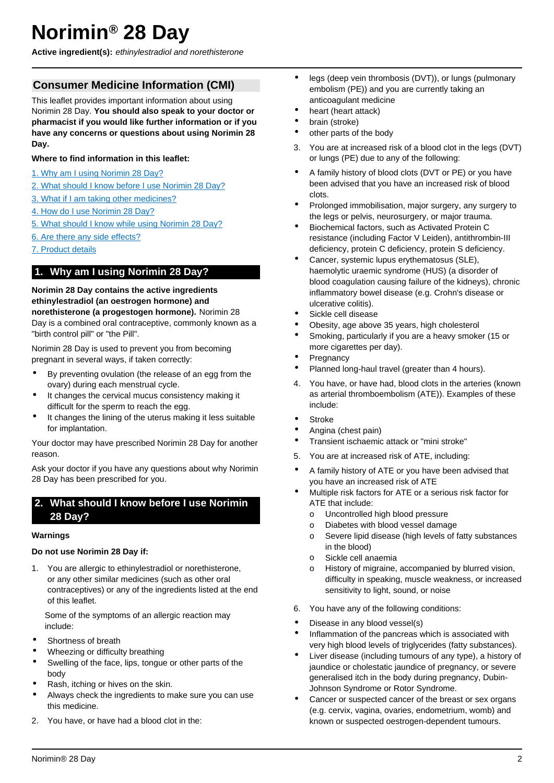# <span id="page-1-0"></span>**Norimin® 28 Day**

**Active ingredient(s):** ethinylestradiol and norethisterone

# **Consumer Medicine Information (CMI)**

This leaflet provides important information about using Norimin 28 Day. **You should also speak to your doctor or pharmacist if you would like further information or if you have any concerns or questions about using Norimin 28 Day.**

## **Where to find information in this leaflet:**

- [1. Why am I using Norimin 28 Day?](#page-1-1)
- [2. What should I know before I use Norimin 28 Day?](#page-1-2)
- [3. What if I am taking other medicines?](#page-2-0)
- [4. How do I use Norimin 28 Day?](#page-3-0)
- [5. What should I know while using Norimin 28 Day?](#page-4-0)
- [6. Are there any side effects?](#page-5-0)
- [7. Product details](#page-7-0)

# <span id="page-1-1"></span>**1. Why am I using Norimin 28 Day?**

**Norimin 28 Day contains the active ingredients ethinylestradiol (an oestrogen hormone) and norethisterone (a progestogen hormone).** Norimin 28 Day is a combined oral contraceptive, commonly known as a "birth control pill" or "the Pill".

Norimin 28 Day is used to prevent you from becoming pregnant in several ways, if taken correctly:

- By preventing ovulation (the release of an egg from the ovary) during each menstrual cycle.
- It changes the cervical mucus consistency making it difficult for the sperm to reach the egg.
- It changes the lining of the uterus making it less suitable for implantation.

Your doctor may have prescribed Norimin 28 Day for another reason.

Ask your doctor if you have any questions about why Norimin 28 Day has been prescribed for you.

# <span id="page-1-2"></span>**2. What should I know before I use Norimin 28 Day?**

#### **Warnings**

#### **Do not use Norimin 28 Day if:**

1. You are allergic to ethinylestradiol or norethisterone, or any other similar medicines (such as other oral contraceptives) or any of the ingredients listed at the end of this leaflet.

Some of the symptoms of an allergic reaction may include:

- Shortness of breath
- Wheezing or difficulty breathing
- Swelling of the face, lips, tongue or other parts of the body
- Rash, itching or hives on the skin.
- Always check the ingredients to make sure you can use this medicine.
- 2. You have, or have had a blood clot in the:
- legs (deep vein thrombosis (DVT)), or lungs (pulmonary embolism (PE)) and you are currently taking an anticoagulant medicine
- heart (heart attack)
- brain (stroke)
- other parts of the body
- 3. You are at increased risk of a blood clot in the legs (DVT) or lungs (PE) due to any of the following:
- A family history of blood clots (DVT or PE) or you have been advised that you have an increased risk of blood clots.
- Prolonged immobilisation, major surgery, any surgery to the legs or pelvis, neurosurgery, or major trauma.
- Biochemical factors, such as Activated Protein C resistance (including Factor V Leiden), antithrombin-III deficiency, protein C deficiency, protein S deficiency.
- Cancer, systemic lupus erythematosus (SLE), haemolytic uraemic syndrome (HUS) (a disorder of blood coagulation causing failure of the kidneys), chronic inflammatory bowel disease (e.g. Crohn's disease or ulcerative colitis).
- Sickle cell disease
- Obesity, age above 35 years, high cholesterol
- Smoking, particularly if you are a heavy smoker (15 or more cigarettes per day).
- **Pregnancy**
- Planned long-haul travel (greater than 4 hours).
- 4. You have, or have had, blood clots in the arteries (known as arterial thromboembolism (ATE)). Examples of these include:
- Stroke
- Angina (chest pain)
- Transient ischaemic attack or "mini stroke"
- 5. You are at increased risk of ATE, including:
- A family history of ATE or you have been advised that you have an increased risk of ATE
- Multiple risk factors for ATE or a serious risk factor for ATE that include:
	- o Uncontrolled high blood pressure
	- o Diabetes with blood vessel damage
	- o Severe lipid disease (high levels of fatty substances in the blood)
	- o Sickle cell anaemia
	- o History of migraine, accompanied by blurred vision, difficulty in speaking, muscle weakness, or increased sensitivity to light, sound, or noise
- 6. You have any of the following conditions:
- Disease in any blood vessel(s)
- Inflammation of the pancreas which is associated with very high blood levels of triglycerides (fatty substances).
- Liver disease (including tumours of any type), a history of jaundice or cholestatic jaundice of pregnancy, or severe generalised itch in the body during pregnancy, Dubin-Johnson Syndrome or Rotor Syndrome.
- Cancer or suspected cancer of the breast or sex organs (e.g. cervix, vagina, ovaries, endometrium, womb) and known or suspected oestrogen-dependent tumours.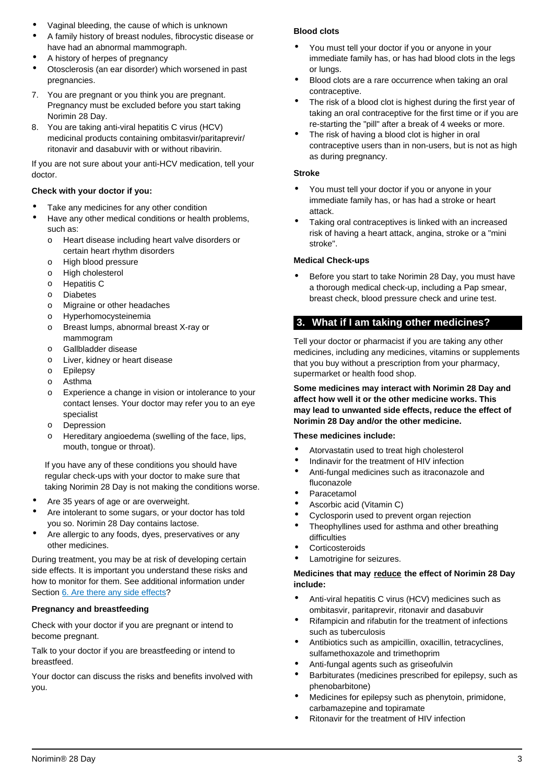- Vaginal bleeding, the cause of which is unknown
- A family history of breast nodules, fibrocystic disease or have had an abnormal mammograph.
- A history of herpes of pregnancy
- Otosclerosis (an ear disorder) which worsened in past pregnancies.
- 7. You are pregnant or you think you are pregnant. Pregnancy must be excluded before you start taking Norimin 28 Day.
- 8. You are taking anti-viral hepatitis C virus (HCV) medicinal products containing ombitasvir/paritaprevir/ ritonavir and dasabuvir with or without ribavirin.

If you are not sure about your anti-HCV medication, tell your doctor.

## **Check with your doctor if you:**

- Take any medicines for any other condition
- Have any other medical conditions or health problems, such as:
	- o Heart disease including heart valve disorders or certain heart rhythm disorders
	- o High blood pressure
	- o High cholesterol
	- o Hepatitis C
	- o Diabetes
	- o Migraine or other headaches
	- o Hyperhomocysteinemia
	- o Breast lumps, abnormal breast X-ray or mammogram
	- o Gallbladder disease
	- o Liver, kidney or heart disease
	- o Epilepsy
	- o Asthma
	- o Experience a change in vision or intolerance to your contact lenses. Your doctor may refer you to an eye specialist
	- o Depression
	- o Hereditary angioedema (swelling of the face, lips, mouth, tongue or throat).

If you have any of these conditions you should have regular check-ups with your doctor to make sure that taking Norimin 28 Day is not making the conditions worse.

- Are 35 years of age or are overweight.
- Are intolerant to some sugars, or your doctor has told you so. Norimin 28 Day contains lactose.
- Are allergic to any foods, dyes, preservatives or any other medicines.

During treatment, you may be at risk of developing certain side effects. It is important you understand these risks and how to monitor for them. See additional information under Section [6. Are there any side effects?](#page-5-0)

## **Pregnancy and breastfeeding**

Check with your doctor if you are pregnant or intend to become pregnant.

Talk to your doctor if you are breastfeeding or intend to breastfeed.

Your doctor can discuss the risks and benefits involved with you.

## **Blood clots**

- You must tell your doctor if you or anyone in your immediate family has, or has had blood clots in the legs or lungs.
- Blood clots are a rare occurrence when taking an oral contraceptive.
- The risk of a blood clot is highest during the first year of taking an oral contraceptive for the first time or if you are re-starting the "pill" after a break of 4 weeks or more.
- The risk of having a blood clot is higher in oral contraceptive users than in non-users, but is not as high as during pregnancy.

## **Stroke**

- You must tell your doctor if you or anyone in your immediate family has, or has had a stroke or heart attack.
- Taking oral contraceptives is linked with an increased risk of having a heart attack, angina, stroke or a "mini stroke".

## **Medical Check-ups**

• Before you start to take Norimin 28 Day, you must have a thorough medical check-up, including a Pap smear, breast check, blood pressure check and urine test.

# <span id="page-2-0"></span>**3. What if I am taking other medicines?**

Tell your doctor or pharmacist if you are taking any other medicines, including any medicines, vitamins or supplements that you buy without a prescription from your pharmacy, supermarket or health food shop.

**Some medicines may interact with Norimin 28 Day and affect how well it or the other medicine works. This may lead to unwanted side effects, reduce the effect of Norimin 28 Day and/or the other medicine.**

#### **These medicines include:**

- Atorvastatin used to treat high cholesterol
- Indinavir for the treatment of HIV infection
- Anti-fungal medicines such as itraconazole and fluconazole
- **Paracetamol**
- Ascorbic acid (Vitamin C)
- Cyclosporin used to prevent organ rejection
- Theophyllines used for asthma and other breathing difficulties
- **Corticosteroids**
- Lamotrigine for seizures.

## **Medicines that may reduce the effect of Norimin 28 Day include:**

- Anti-viral hepatitis C virus (HCV) medicines such as ombitasvir, paritaprevir, ritonavir and dasabuvir
- Rifampicin and rifabutin for the treatment of infections such as tuberculosis
- Antibiotics such as ampicillin, oxacillin, tetracyclines, sulfamethoxazole and trimethoprim
- Anti-fungal agents such as griseofulvin
- Barbiturates (medicines prescribed for epilepsy, such as phenobarbitone)
- Medicines for epilepsy such as phenytoin, primidone, carbamazepine and topiramate
- Ritonavir for the treatment of HIV infection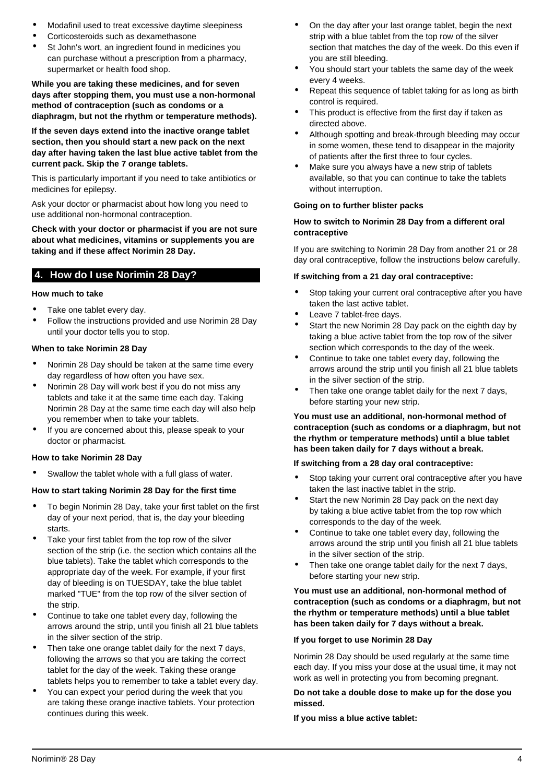- Modafinil used to treat excessive daytime sleepiness
- Corticosteroids such as dexamethasone
- St John's wort, an ingredient found in medicines you can purchase without a prescription from a pharmacy, supermarket or health food shop.

**While you are taking these medicines, and for seven days after stopping them, you must use a non-hormonal method of contraception (such as condoms or a diaphragm, but not the rhythm or temperature methods).**

**If the seven days extend into the inactive orange tablet section, then you should start a new pack on the next day after having taken the last blue active tablet from the current pack. Skip the 7 orange tablets.**

This is particularly important if you need to take antibiotics or medicines for epilepsy.

Ask your doctor or pharmacist about how long you need to use additional non-hormonal contraception.

**Check with your doctor or pharmacist if you are not sure about what medicines, vitamins or supplements you are taking and if these affect Norimin 28 Day.**

# <span id="page-3-0"></span>**4. How do I use Norimin 28 Day?**

# **How much to take**

- Take one tablet every day.
- Follow the instructions provided and use Norimin 28 Day until your doctor tells you to stop.

## **When to take Norimin 28 Day**

- Norimin 28 Day should be taken at the same time every day regardless of how often you have sex.
- Norimin 28 Day will work best if you do not miss any tablets and take it at the same time each day. Taking Norimin 28 Day at the same time each day will also help you remember when to take your tablets.
- If you are concerned about this, please speak to your doctor or pharmacist.

#### **How to take Norimin 28 Day**

Swallow the tablet whole with a full glass of water.

## **How to start taking Norimin 28 Day for the first time**

- To begin Norimin 28 Day, take your first tablet on the first day of your next period, that is, the day your bleeding starts.
- Take your first tablet from the top row of the silver section of the strip (i.e. the section which contains all the blue tablets). Take the tablet which corresponds to the appropriate day of the week. For example, if your first day of bleeding is on TUESDAY, take the blue tablet marked "TUE" from the top row of the silver section of the strip.
- Continue to take one tablet every day, following the arrows around the strip, until you finish all 21 blue tablets in the silver section of the strip.
- Then take one orange tablet daily for the next 7 days, following the arrows so that you are taking the correct tablet for the day of the week. Taking these orange tablets helps you to remember to take a tablet every day.
- You can expect your period during the week that you are taking these orange inactive tablets. Your protection continues during this week.
- On the day after your last orange tablet, begin the next strip with a blue tablet from the top row of the silver section that matches the day of the week. Do this even if you are still bleeding.
- You should start your tablets the same day of the week every 4 weeks.
- Repeat this sequence of tablet taking for as long as birth control is required.
- This product is effective from the first day if taken as directed above.
- Although spotting and break-through bleeding may occur in some women, these tend to disappear in the majority of patients after the first three to four cycles.
- Make sure you always have a new strip of tablets available, so that you can continue to take the tablets without interruption.

#### **Going on to further blister packs**

#### **How to switch to Norimin 28 Day from a different oral contraceptive**

If you are switching to Norimin 28 Day from another 21 or 28 day oral contraceptive, follow the instructions below carefully.

#### **If switching from a 21 day oral contraceptive:**

- Stop taking your current oral contraceptive after you have taken the last active tablet.
- Leave 7 tablet-free days.
- Start the new Norimin 28 Day pack on the eighth day by taking a blue active tablet from the top row of the silver section which corresponds to the day of the week.
- Continue to take one tablet every day, following the arrows around the strip until you finish all 21 blue tablets in the silver section of the strip.
- Then take one orange tablet daily for the next 7 days, before starting your new strip.

#### **You must use an additional, non-hormonal method of contraception (such as condoms or a diaphragm, but not the rhythm or temperature methods) until a blue tablet has been taken daily for 7 days without a break.**

#### **If switching from a 28 day oral contraceptive:**

- Stop taking your current oral contraceptive after you have taken the last inactive tablet in the strip.
- Start the new Norimin 28 Day pack on the next day by taking a blue active tablet from the top row which corresponds to the day of the week.
- Continue to take one tablet every day, following the arrows around the strip until you finish all 21 blue tablets in the silver section of the strip.
- Then take one orange tablet daily for the next 7 days, before starting your new strip.

#### **You must use an additional, non-hormonal method of contraception (such as condoms or a diaphragm, but not the rhythm or temperature methods) until a blue tablet has been taken daily for 7 days without a break.**

#### **If you forget to use Norimin 28 Day**

Norimin 28 Day should be used regularly at the same time each day. If you miss your dose at the usual time, it may not work as well in protecting you from becoming pregnant.

#### **Do not take a double dose to make up for the dose you missed.**

**If you miss a blue active tablet:**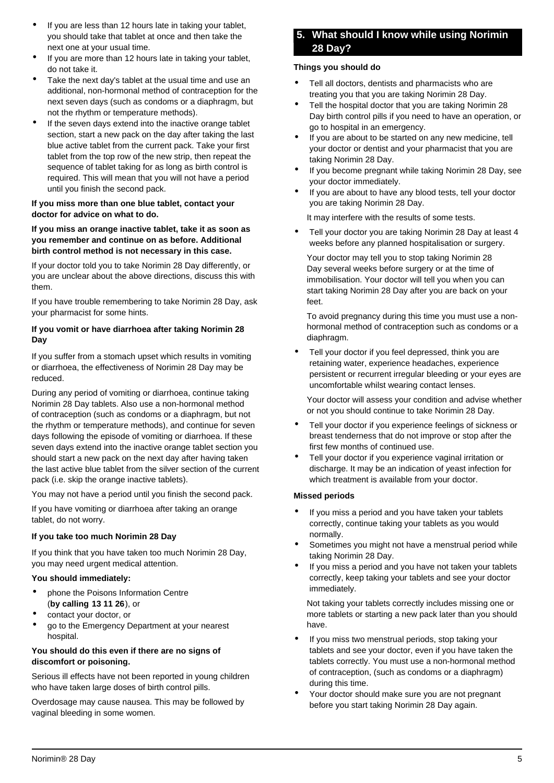- If you are less than 12 hours late in taking your tablet, you should take that tablet at once and then take the next one at your usual time.
- If you are more than 12 hours late in taking your tablet, do not take it.
- Take the next day's tablet at the usual time and use an additional, non-hormonal method of contraception for the next seven days (such as condoms or a diaphragm, but not the rhythm or temperature methods).
- If the seven days extend into the inactive orange tablet section, start a new pack on the day after taking the last blue active tablet from the current pack. Take your first tablet from the top row of the new strip, then repeat the sequence of tablet taking for as long as birth control is required. This will mean that you will not have a period until you finish the second pack.

### **If you miss more than one blue tablet, contact your doctor for advice on what to do.**

#### **If you miss an orange inactive tablet, take it as soon as you remember and continue on as before. Additional birth control method is not necessary in this case.**

If your doctor told you to take Norimin 28 Day differently, or you are unclear about the above directions, discuss this with them.

If you have trouble remembering to take Norimin 28 Day, ask your pharmacist for some hints.

## **If you vomit or have diarrhoea after taking Norimin 28 Day**

If you suffer from a stomach upset which results in vomiting or diarrhoea, the effectiveness of Norimin 28 Day may be reduced.

During any period of vomiting or diarrhoea, continue taking Norimin 28 Day tablets. Also use a non-hormonal method of contraception (such as condoms or a diaphragm, but not the rhythm or temperature methods), and continue for seven days following the episode of vomiting or diarrhoea. If these seven days extend into the inactive orange tablet section you should start a new pack on the next day after having taken the last active blue tablet from the silver section of the current pack (i.e. skip the orange inactive tablets).

You may not have a period until you finish the second pack.

If you have vomiting or diarrhoea after taking an orange tablet, do not worry.

## **If you take too much Norimin 28 Day**

If you think that you have taken too much Norimin 28 Day, you may need urgent medical attention.

#### **You should immediately:**

- phone the Poisons Information Centre (**by calling 13 11 26**), or
- contact your doctor, or
- go to the Emergency Department at your nearest hospital.

## **You should do this even if there are no signs of discomfort or poisoning.**

Serious ill effects have not been reported in young children who have taken large doses of birth control pills.

<span id="page-4-0"></span>Overdosage may cause nausea. This may be followed by vaginal bleeding in some women.

# **5. What should I know while using Norimin 28 Day?**

#### **Things you should do**

- Tell all doctors, dentists and pharmacists who are treating you that you are taking Norimin 28 Day.
- Tell the hospital doctor that you are taking Norimin 28 Day birth control pills if you need to have an operation, or go to hospital in an emergency.
- If you are about to be started on any new medicine, tell your doctor or dentist and your pharmacist that you are taking Norimin 28 Day.
- If you become pregnant while taking Norimin 28 Day, see your doctor immediately.
- If you are about to have any blood tests, tell your doctor you are taking Norimin 28 Day.

It may interfere with the results of some tests.

• Tell your doctor you are taking Norimin 28 Day at least 4 weeks before any planned hospitalisation or surgery.

Your doctor may tell you to stop taking Norimin 28 Day several weeks before surgery or at the time of immobilisation. Your doctor will tell you when you can start taking Norimin 28 Day after you are back on your feet.

To avoid pregnancy during this time you must use a nonhormonal method of contraception such as condoms or a diaphragm.

Tell your doctor if you feel depressed, think you are retaining water, experience headaches, experience persistent or recurrent irregular bleeding or your eyes are uncomfortable whilst wearing contact lenses.

Your doctor will assess your condition and advise whether or not you should continue to take Norimin 28 Day.

- Tell your doctor if you experience feelings of sickness or breast tenderness that do not improve or stop after the first few months of continued use.
- Tell your doctor if you experience vaginal irritation or discharge. It may be an indication of yeast infection for which treatment is available from your doctor.

## **Missed periods**

- If you miss a period and you have taken your tablets correctly, continue taking your tablets as you would normally.
- Sometimes you might not have a menstrual period while taking Norimin 28 Day.
- If you miss a period and you have not taken your tablets correctly, keep taking your tablets and see your doctor immediately.

Not taking your tablets correctly includes missing one or more tablets or starting a new pack later than you should have.

- If you miss two menstrual periods, stop taking your tablets and see your doctor, even if you have taken the tablets correctly. You must use a non-hormonal method of contraception, (such as condoms or a diaphragm) during this time.
- Your doctor should make sure you are not pregnant before you start taking Norimin 28 Day again.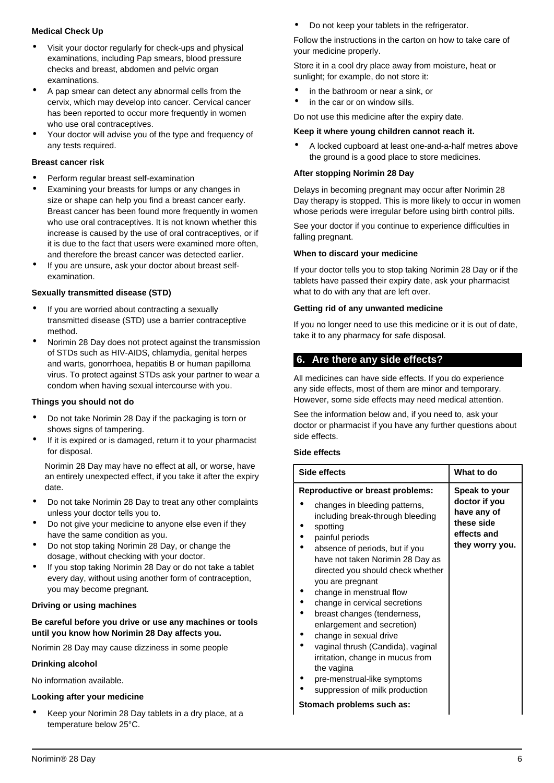## **Medical Check Up**

- Visit your doctor regularly for check-ups and physical examinations, including Pap smears, blood pressure checks and breast, abdomen and pelvic organ examinations.
- A pap smear can detect any abnormal cells from the cervix, which may develop into cancer. Cervical cancer has been reported to occur more frequently in women who use oral contraceptives.
- Your doctor will advise you of the type and frequency of any tests required.

#### **Breast cancer risk**

- Perform regular breast self-examination
- Examining your breasts for lumps or any changes in size or shape can help you find a breast cancer early. Breast cancer has been found more frequently in women who use oral contraceptives. It is not known whether this increase is caused by the use of oral contraceptives, or if it is due to the fact that users were examined more often, and therefore the breast cancer was detected earlier.
- If you are unsure, ask your doctor about breast selfexamination.

#### **Sexually transmitted disease (STD)**

- If you are worried about contracting a sexually transmitted disease (STD) use a barrier contraceptive method.
- Norimin 28 Day does not protect against the transmission of STDs such as HIV-AIDS, chlamydia, genital herpes and warts, gonorrhoea, hepatitis B or human papilloma virus. To protect against STDs ask your partner to wear a condom when having sexual intercourse with you.

#### **Things you should not do**

- Do not take Norimin 28 Day if the packaging is torn or shows signs of tampering.
- If it is expired or is damaged, return it to your pharmacist for disposal.

Norimin 28 Day may have no effect at all, or worse, have an entirely unexpected effect, if you take it after the expiry date.

- Do not take Norimin 28 Day to treat any other complaints unless your doctor tells you to.
- Do not give your medicine to anyone else even if they have the same condition as you.
- Do not stop taking Norimin 28 Day, or change the dosage, without checking with your doctor.
- If you stop taking Norimin 28 Day or do not take a tablet every day, without using another form of contraception, you may become pregnant.

#### **Driving or using machines**

**Be careful before you drive or use any machines or tools until you know how Norimin 28 Day affects you.**

Norimin 28 Day may cause dizziness in some people

#### **Drinking alcohol**

No information available.

#### **Looking after your medicine**

• Keep your Norimin 28 Day tablets in a dry place, at a temperature below 25°C.

• Do not keep your tablets in the refrigerator.

Follow the instructions in the carton on how to take care of your medicine properly.

Store it in a cool dry place away from moisture, heat or sunlight; for example, do not store it:

- in the bathroom or near a sink, or
- in the car or on window sills.

Do not use this medicine after the expiry date.

#### **Keep it where young children cannot reach it.**

• A locked cupboard at least one-and-a-half metres above the ground is a good place to store medicines.

#### **After stopping Norimin 28 Day**

Delays in becoming pregnant may occur after Norimin 28 Day therapy is stopped. This is more likely to occur in women whose periods were irregular before using birth control pills.

See your doctor if you continue to experience difficulties in falling pregnant.

#### **When to discard your medicine**

If your doctor tells you to stop taking Norimin 28 Day or if the tablets have passed their expiry date, ask your pharmacist what to do with any that are left over.

#### **Getting rid of any unwanted medicine**

If you no longer need to use this medicine or it is out of date, take it to any pharmacy for safe disposal.

## <span id="page-5-0"></span>**6. Are there any side effects?**

All medicines can have side effects. If you do experience any side effects, most of them are minor and temporary. However, some side effects may need medical attention.

See the information below and, if you need to, ask your doctor or pharmacist if you have any further questions about side effects.

#### **Side effects**

| Side effects                                                                                                                                                                                                                                                                                                                                                                                                                                                                                                                                                                           | What to do                                                                                    |
|----------------------------------------------------------------------------------------------------------------------------------------------------------------------------------------------------------------------------------------------------------------------------------------------------------------------------------------------------------------------------------------------------------------------------------------------------------------------------------------------------------------------------------------------------------------------------------------|-----------------------------------------------------------------------------------------------|
| <b>Reproductive or breast problems:</b><br>changes in bleeding patterns,<br>including break-through bleeding<br>spotting<br>painful periods<br>absence of periods, but if you<br>have not taken Norimin 28 Day as<br>directed you should check whether<br>you are pregnant<br>change in menstrual flow<br>change in cervical secretions<br>breast changes (tenderness,<br>enlargement and secretion)<br>change in sexual drive<br>vaginal thrush (Candida), vaginal<br>irritation, change in mucus from<br>the vagina<br>pre-menstrual-like symptoms<br>suppression of milk production | Speak to your<br>doctor if you<br>have any of<br>these side<br>effects and<br>they worry you. |

#### **Stomach problems such as:**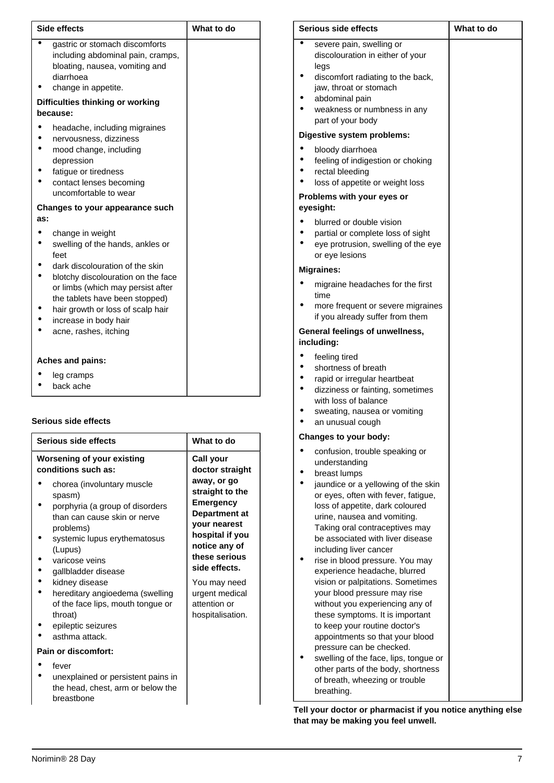| <b>Side effects</b>                                                                                                                                                                                                                                                                                 | What to do |
|-----------------------------------------------------------------------------------------------------------------------------------------------------------------------------------------------------------------------------------------------------------------------------------------------------|------------|
| gastric or stomach discomforts<br>including abdominal pain, cramps,<br>bloating, nausea, vomiting and<br>diarrhoea<br>change in appetite.                                                                                                                                                           |            |
| Difficulties thinking or working<br>because:                                                                                                                                                                                                                                                        |            |
| headache, including migraines<br>nervousness, dizziness<br>mood change, including<br>depression<br>fatigue or tiredness<br>contact lenses becoming<br>uncomfortable to wear                                                                                                                         |            |
| Changes to your appearance such<br>as:                                                                                                                                                                                                                                                              |            |
| change in weight<br>swelling of the hands, ankles or<br>feet<br>dark discolouration of the skin<br>blotchy discolouration on the face<br>or limbs (which may persist after<br>the tablets have been stopped)<br>hair growth or loss of scalp hair<br>increase in body hair<br>acne, rashes, itching |            |
| <b>Aches and pains:</b>                                                                                                                                                                                                                                                                             |            |
| leg cramps<br>back ache                                                                                                                                                                                                                                                                             |            |

# **Serious side effects**

| Serious side effects                                                                                                                                                                                                                                                                                                                                                                                              | What to do                                                                                                                                                                                                                                                             |
|-------------------------------------------------------------------------------------------------------------------------------------------------------------------------------------------------------------------------------------------------------------------------------------------------------------------------------------------------------------------------------------------------------------------|------------------------------------------------------------------------------------------------------------------------------------------------------------------------------------------------------------------------------------------------------------------------|
| <b>Worsening of your existing</b><br>conditions such as:<br>chorea (involuntary muscle<br>spasm)<br>porphyria (a group of disorders<br>than can cause skin or nerve<br>problems)<br>systemic lupus erythematosus<br>(Lupus)<br>varicose veins<br>gallbladder disease<br>kidney disease<br>hereditary angioedema (swelling<br>of the face lips, mouth tongue or<br>throat)<br>epileptic seizures<br>asthma attack. | Call your<br>doctor straight<br>away, or go<br>straight to the<br><b>Emergency</b><br><b>Department at</b><br>your nearest<br>hospital if you<br>notice any of<br>these serious<br>side effects.<br>You may need<br>urgent medical<br>attention or<br>hospitalisation. |
| Pain or discomfort:                                                                                                                                                                                                                                                                                                                                                                                               |                                                                                                                                                                                                                                                                        |
| fever<br>unexplained or persistent pains in<br>the head, chest, arm or below the<br>breastbone                                                                                                                                                                                                                                                                                                                    |                                                                                                                                                                                                                                                                        |

| Serious side effects |                                                                                                                                                                                                                                                                                                                                                                                                                                                                                                                                                            | What to do |
|----------------------|------------------------------------------------------------------------------------------------------------------------------------------------------------------------------------------------------------------------------------------------------------------------------------------------------------------------------------------------------------------------------------------------------------------------------------------------------------------------------------------------------------------------------------------------------------|------------|
| $\bullet$            | severe pain, swelling or<br>discolouration in either of your<br>legs<br>discomfort radiating to the back,<br>jaw, throat or stomach<br>abdominal pain<br>weakness or numbness in any<br>part of your body                                                                                                                                                                                                                                                                                                                                                  |            |
|                      | Digestive system problems:                                                                                                                                                                                                                                                                                                                                                                                                                                                                                                                                 |            |
|                      | bloody diarrhoea<br>feeling of indigestion or choking<br>rectal bleeding<br>loss of appetite or weight loss<br>Problems with your eyes or<br>eyesight:                                                                                                                                                                                                                                                                                                                                                                                                     |            |
|                      | blurred or double vision<br>partial or complete loss of sight<br>eye protrusion, swelling of the eye<br>or eye lesions                                                                                                                                                                                                                                                                                                                                                                                                                                     |            |
|                      | <b>Migraines:</b>                                                                                                                                                                                                                                                                                                                                                                                                                                                                                                                                          |            |
|                      | migraine headaches for the first<br>time<br>more frequent or severe migraines<br>if you already suffer from them                                                                                                                                                                                                                                                                                                                                                                                                                                           |            |
|                      | General feelings of unwellness,                                                                                                                                                                                                                                                                                                                                                                                                                                                                                                                            |            |
|                      | including:                                                                                                                                                                                                                                                                                                                                                                                                                                                                                                                                                 |            |
| $\bullet$            | feeling tired<br>shortness of breath<br>rapid or irregular heartbeat<br>dizziness or fainting, sometimes<br>with loss of balance<br>sweating, nausea or vomiting<br>an unusual cough                                                                                                                                                                                                                                                                                                                                                                       |            |
|                      | Changes to your body:                                                                                                                                                                                                                                                                                                                                                                                                                                                                                                                                      |            |
|                      | confusion, trouble speaking or<br>understanding<br>breast lumps                                                                                                                                                                                                                                                                                                                                                                                                                                                                                            |            |
|                      | jaundice or a yellowing of the skin<br>or eyes, often with fever, fatigue,<br>loss of appetite, dark coloured<br>urine, nausea and vomiting.<br>Taking oral contraceptives may<br>be associated with liver disease<br>including liver cancer<br>rise in blood pressure. You may<br>experience headache, blurred<br>vision or palpitations. Sometimes<br>your blood pressure may rise<br>without you experiencing any of<br>these symptoms. It is important<br>to keep your routine doctor's<br>appointments so that your blood<br>pressure can be checked. |            |
|                      | swelling of the face, lips, tongue or<br>other parts of the body, shortness<br>of breath, wheezing or trouble<br>breathing.                                                                                                                                                                                                                                                                                                                                                                                                                                |            |

**Tell your doctor or pharmacist if you notice anything else that may be making you feel unwell.**